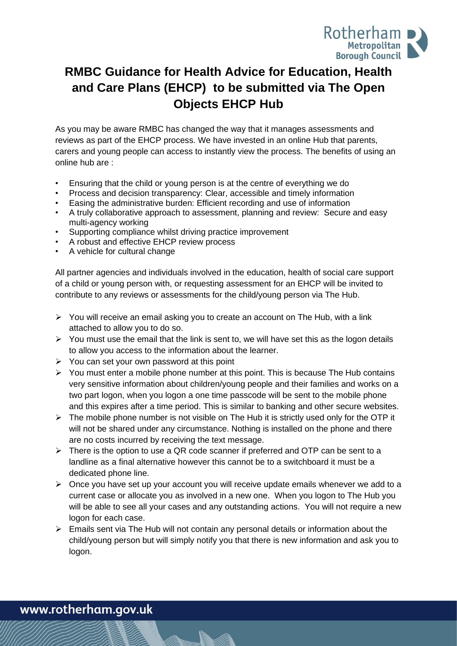

# **RMBC Guidance for Health Advice for Education, Health and Care Plans (EHCP) to be submitted via The Open Objects EHCP Hub**

As you may be aware RMBC has changed the way that it manages assessments and reviews as part of the EHCP process. We have invested in an online Hub that parents, carers and young people can access to instantly view the process. The benefits of using an online hub are :

- Ensuring that the child or young person is at the centre of everything we do
- Process and decision transparency: Clear, accessible and timely information
- Easing the administrative burden: Efficient recording and use of information
- A truly collaborative approach to assessment, planning and review: Secure and easy multi-agency working
- Supporting compliance whilst driving practice improvement
- A robust and effective EHCP review process
- A vehicle for cultural change

All partner agencies and individuals involved in the education, health of social care support of a child or young person with, or requesting assessment for an EHCP will be invited to contribute to any reviews or assessments for the child/young person via The Hub.

- ➢ You will receive an email asking you to create an account on The Hub, with a link attached to allow you to do so.
- $\triangleright$  You must use the email that the link is sent to, we will have set this as the logon details to allow you access to the information about the learner.
- $\triangleright$  You can set your own password at this point
- $\triangleright$  You must enter a mobile phone number at this point. This is because The Hub contains very sensitive information about children/young people and their families and works on a two part logon, when you logon a one time passcode will be sent to the mobile phone and this expires after a time period. This is similar to banking and other secure websites.
- $\triangleright$  The mobile phone number is not visible on The Hub it is strictly used only for the OTP it will not be shared under any circumstance. Nothing is installed on the phone and there are no costs incurred by receiving the text message.
- $\triangleright$  There is the option to use a QR code scanner if preferred and OTP can be sent to a landline as a final alternative however this cannot be to a switchboard it must be a dedicated phone line.
- ➢ Once you have set up your account you will receive update emails whenever we add to a current case or allocate you as involved in a new one. When you logon to The Hub you will be able to see all your cases and any outstanding actions. You will not require a new logon for each case.
- ➢ Emails sent via The Hub will not contain any personal details or information about the child/young person but will simply notify you that there is new information and ask you to logon.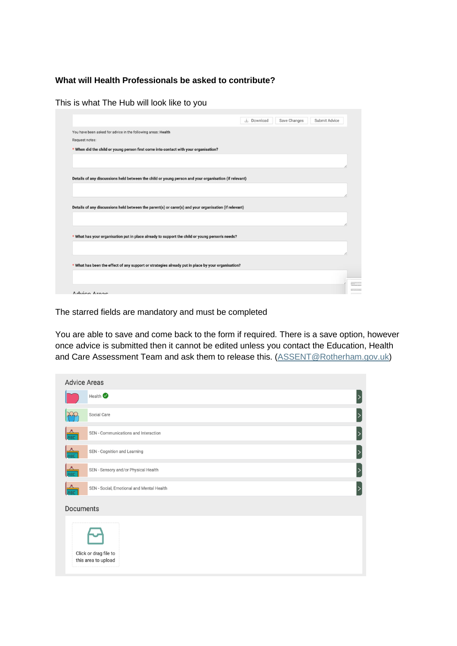### **What will Health Professionals be asked to contribute?**

|                                                                                                       |  | L Download | Save Changes | Submit Advice |
|-------------------------------------------------------------------------------------------------------|--|------------|--------------|---------------|
| You have been asked for advice in the following areas: Health                                         |  |            |              |               |
| Request notes:                                                                                        |  |            |              |               |
| * When did the child or young person first come into contact with your organisation?                  |  |            |              |               |
|                                                                                                       |  |            |              |               |
|                                                                                                       |  |            |              |               |
| Details of any discussions held between the child or young person and your organisation (if relevant) |  |            |              |               |
|                                                                                                       |  |            |              |               |
|                                                                                                       |  |            |              |               |
|                                                                                                       |  |            |              |               |
| Details of any discussions held between the parent(s) or carer(s) and your organisation (if relevant) |  |            |              |               |
|                                                                                                       |  |            |              |               |
|                                                                                                       |  |            |              |               |
| * What has your organisation put in place already to support the child or young person's needs?       |  |            |              |               |
|                                                                                                       |  |            |              |               |
|                                                                                                       |  |            |              |               |
| * What has been the effect of any support or strategies already put in place by your organisation?    |  |            |              |               |
|                                                                                                       |  |            |              |               |
|                                                                                                       |  |            |              |               |
|                                                                                                       |  |            |              |               |

This is what The Hub will look like to you

The starred fields are mandatory and must be completed

You are able to save and come back to the form if required. There is a save option, however once advice is submitted then it cannot be edited unless you contact the Education, Health and Care Assessment Team and ask them to release this. [\(ASSENT@Rotherham.gov.uk\)](mailto:ASSENT@Rotherham.gov.uk)

| <b>Advice Areas</b> |                                              |  |
|---------------------|----------------------------------------------|--|
|                     | Health                                       |  |
|                     | Social Care                                  |  |
| <b>RBC</b>          | SEN - Communications and Interaction         |  |
| RBC                 | SEN - Cognition and Learning                 |  |
| RBC                 | SEN - Sensory and/or Physical Health         |  |
| <b>BC</b>           | SEN - Social, Emotional and Mental Health    |  |
| <b>Documents</b>    |                                              |  |
|                     | Click or drag file to<br>this area to upload |  |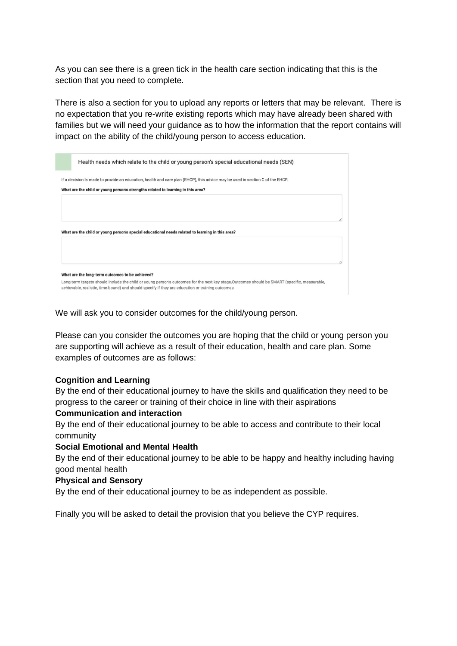As you can see there is a green tick in the health care section indicating that this is the section that you need to complete.

There is also a section for you to upload any reports or letters that may be relevant. There is no expectation that you re-write existing reports which may have already been shared with families but we will need your guidance as to how the information that the report contains will impact on the ability of the child/young person to access education.

| Health needs which relate to the child or young person's special educational needs (SEN)                                                                                                                                                          |  |
|---------------------------------------------------------------------------------------------------------------------------------------------------------------------------------------------------------------------------------------------------|--|
| If a decision is made to provide an education, health and care plan (EHCP), this advice may be used in section C of the EHCP.<br>What are the child or young person's strengths related to learning in this area?                                 |  |
|                                                                                                                                                                                                                                                   |  |
| What are the child or young person's special educational needs related to learning in this area?                                                                                                                                                  |  |
|                                                                                                                                                                                                                                                   |  |
| What are the long-term outcomes to be achieved?                                                                                                                                                                                                   |  |
| Long-term targets should include the child or young person's outcomes for the next key stage.Outcomes should be SMART (specific, measurable,<br>achievable, realistic, time-bound) and should specify if they are education or training outcomes. |  |

We will ask you to consider outcomes for the child/young person.

Please can you consider the outcomes you are hoping that the child or young person you are supporting will achieve as a result of their education, health and care plan. Some examples of outcomes are as follows:

#### **Cognition and Learning**

By the end of their educational journey to have the skills and qualification they need to be progress to the career or training of their choice in line with their aspirations

#### **Communication and interaction**

By the end of their educational journey to be able to access and contribute to their local community

#### **Social Emotional and Mental Health**

By the end of their educational journey to be able to be happy and healthy including having good mental health

#### **Physical and Sensory**

By the end of their educational journey to be as independent as possible.

Finally you will be asked to detail the provision that you believe the CYP requires.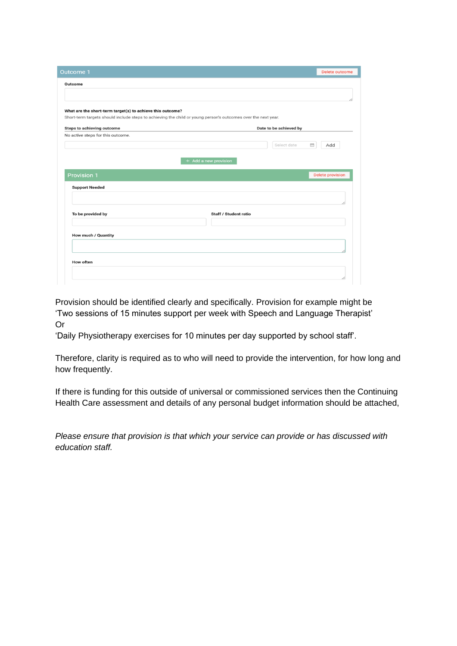| <b>Outcome 1</b>                                                                                              | <b>Delete outcome</b>           |
|---------------------------------------------------------------------------------------------------------------|---------------------------------|
| Outcome                                                                                                       |                                 |
|                                                                                                               |                                 |
|                                                                                                               |                                 |
| What are the short-term target(s) to achieve this outcome?                                                    |                                 |
| Short-term targets should include steps to achieving the child or young person's outcomes over the next year. |                                 |
| <b>Steps to achieving outcome</b>                                                                             | Date to be achieved by          |
| No active steps for this outcome.                                                                             |                                 |
|                                                                                                               | Select date<br>Add<br><b>ED</b> |
|                                                                                                               |                                 |
|                                                                                                               | + Add a new provision           |
|                                                                                                               |                                 |
|                                                                                                               |                                 |
|                                                                                                               | <b>Delete provision</b>         |
| <b>Provision 1</b>                                                                                            |                                 |
| <b>Support Needed</b>                                                                                         |                                 |
|                                                                                                               |                                 |
|                                                                                                               |                                 |
| To be provided by                                                                                             | Staff / Student ratio           |
|                                                                                                               |                                 |
|                                                                                                               |                                 |
| How much / Quantity                                                                                           |                                 |
|                                                                                                               |                                 |
|                                                                                                               |                                 |
|                                                                                                               |                                 |
| <b>How often</b>                                                                                              |                                 |

Provision should be identified clearly and specifically. Provision for example might be 'Two sessions of 15 minutes support per week with Speech and Language Therapist' Or

'Daily Physiotherapy exercises for 10 minutes per day supported by school staff'.

Therefore, clarity is required as to who will need to provide the intervention, for how long and how frequently.

If there is funding for this outside of universal or commissioned services then the Continuing Health Care assessment and details of any personal budget information should be attached,

*Please ensure that provision is that which your service can provide or has discussed with education staff.*